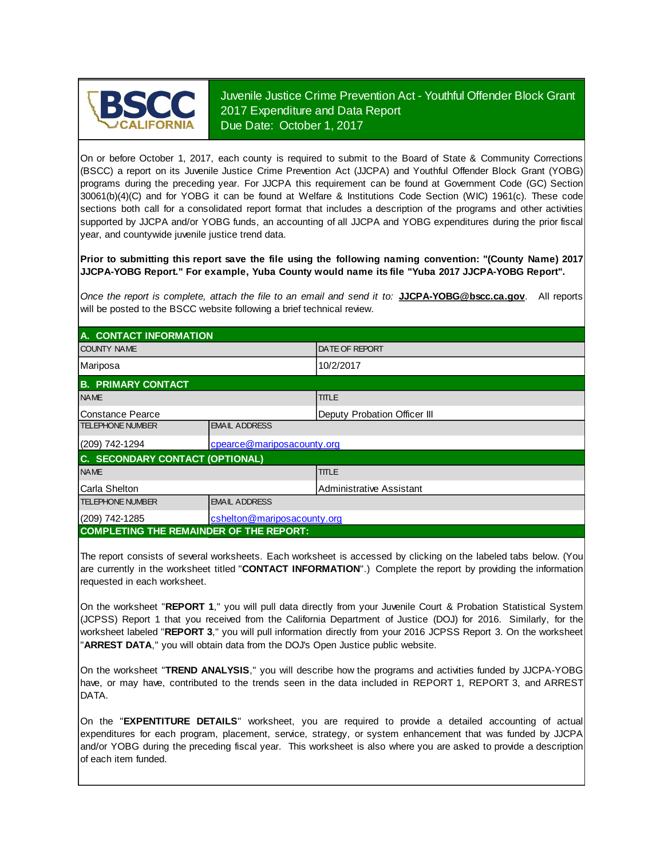

Juvenile Justice Crime Prevention Act - Youthful Offender Block Grant 2017 Expenditure and Data Report Due Date: October 1, 2017

On or before October 1, 2017, each county is required to submit to the Board of State & Community Corrections (BSCC) <sup>a</sup> report on its Juvenile Justice Crime Prevention Act (JJCPA) and Youthful Offender Block Grant (YOBG) programs during the preceding year. For JJCPA this requirement can be found at Government Code (GC) Section 30061(b)(4)(C) and for YOBG it can be found at Welfare & Institutions Code Section (WIC) 1961(c). These code sections both call for <sup>a</sup> consolidated report format that includes <sup>a</sup> description of the programs and other activities supported by JJCPA and/or YOBG funds, an accounting of all JJCPA and YOBG expenditures during the prior fiscal year, and countywide juvenile justice trend data.

**Prior to submitting this report save the file using the following naming convention: "(County Name) 2017 JJCPA-YOBG Report." For example, Yuba County would name its file "Yuba 2017 JJCPA-YOBG Report".**

*Once the report is complete, attach the file t o an email and send it to:* **JJCPA-YOBG@bscc.ca.gov**. All reports will be posted to the BSCC website following a brief technical review.

| A. CONTACT INFORMATION                         |                             |                              |  |  |  |
|------------------------------------------------|-----------------------------|------------------------------|--|--|--|
| <b>COUNTY NAME</b>                             |                             | <b>DATE OF REPORT</b>        |  |  |  |
| Mariposa                                       |                             | 10/2/2017                    |  |  |  |
| <b>B. PRIMARY CONTACT</b>                      |                             |                              |  |  |  |
| <b>NAME</b>                                    |                             | <b>TITLE</b>                 |  |  |  |
| IConstance Pearce                              |                             | Deputy Probation Officer III |  |  |  |
| <b>TELEPHONE NUMBER</b>                        | <b>EMAIL ADDRESS</b>        |                              |  |  |  |
| (209) 742-1294                                 | cpearce@mariposacounty.org  |                              |  |  |  |
| C. SECONDARY CONTACT (OPTIONAL)                |                             |                              |  |  |  |
| <b>NAME</b>                                    |                             | <b>TITLE</b>                 |  |  |  |
| Carla Shelton                                  |                             | Administrative Assistant     |  |  |  |
| <b>TELEPHONE NUMBER</b>                        | <b>EMAIL ADDRESS</b>        |                              |  |  |  |
| $(209)$ 742-1285                               | cshelton@mariposacounty.org |                              |  |  |  |
| <b>COMPLETING THE REMAINDER OF THE REPORT:</b> |                             |                              |  |  |  |

The report consists of several worksheets. Each worksheet is accessed by clicking on the labeled tabs below. (You are currently in the worksheet titled "**CONTACT INFORMATION**".) Complete the report by providing the information requested in each worksheet.

On the worksheet "**REPORT 1**, " you will pull data directly from your Juvenile Court & Probation Statistical System (JCPSS) Report 1 that you received from the California Department of Justice (DOJ) for 2016. Similarly, for the worksheet labeled "REPORT 3," you will pull information directly from your 2016 JCPSS Report 3. On the worksheet "**ARREST DATA**," you will obtain data from the DOJ's Open Justice public website.

On the worksheet "**TREND ANALYSIS**, " you will describe how the programs and activities funded by JJCPA-YOBG have, or may have, contributed to the trends seen in the data included in REPORT 1, REPORT 3, and ARREST DATA.

On the "EXPENTITURE DETAILS" worksheet, you are required to provide a detailed accounting of actual expenditures for each program, placement, service, strategy, or system enhancement that was funded by JJCPA and/or YOBG during the preceding fiscal year. This worksheet is also where you are asked to provide a description of each item funded.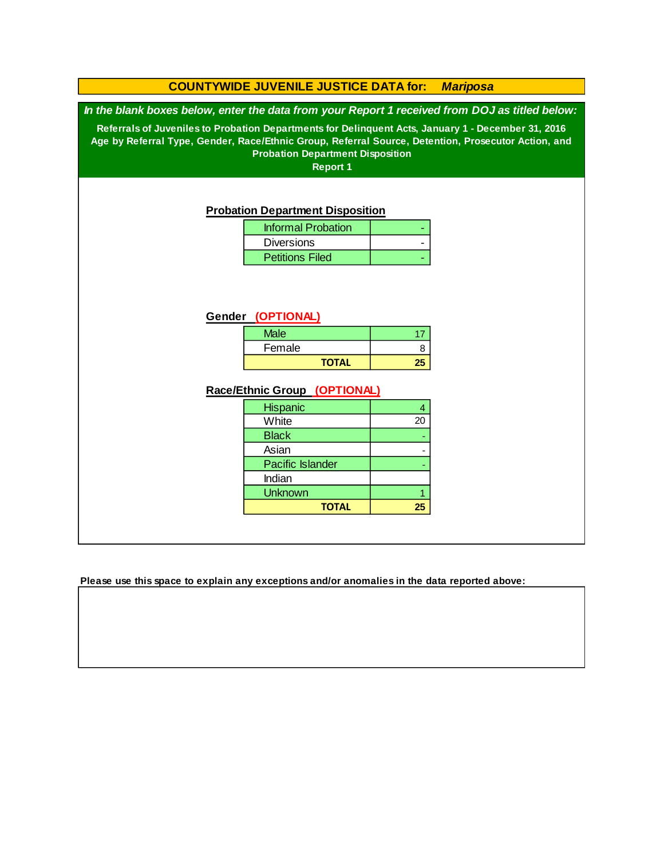|                                                                                                                                                                                                                                                                         | <b>COUNTYWIDE JUVENILE JUSTICE DATA for:</b> |    | <b>Mariposa</b> |  |  |
|-------------------------------------------------------------------------------------------------------------------------------------------------------------------------------------------------------------------------------------------------------------------------|----------------------------------------------|----|-----------------|--|--|
| In the blank boxes below, enter the data from your Report 1 received from DOJ as titled below:                                                                                                                                                                          |                                              |    |                 |  |  |
| Referrals of Juveniles to Probation Departments for Delinquent Acts, January 1 - December 31, 2016<br>Age by Referral Type, Gender, Race/Ethnic Group, Referral Source, Detention, Prosecutor Action, and<br><b>Probation Department Disposition</b><br><b>Report 1</b> |                                              |    |                 |  |  |
|                                                                                                                                                                                                                                                                         | <b>Probation Department Disposition</b>      |    |                 |  |  |
|                                                                                                                                                                                                                                                                         | <b>Informal Probation</b>                    |    |                 |  |  |
|                                                                                                                                                                                                                                                                         | <b>Diversions</b>                            |    |                 |  |  |
|                                                                                                                                                                                                                                                                         | <b>Petitions Filed</b>                       |    |                 |  |  |
|                                                                                                                                                                                                                                                                         | Gender (OPTIONAL)<br><b>Male</b>             | 17 |                 |  |  |
|                                                                                                                                                                                                                                                                         | Female                                       | 8  |                 |  |  |
|                                                                                                                                                                                                                                                                         | <b>TOTAL</b>                                 | 25 |                 |  |  |
| Race/Ethnic Group (OPTIONAL)                                                                                                                                                                                                                                            |                                              |    |                 |  |  |
|                                                                                                                                                                                                                                                                         | Hispanic                                     | 4  |                 |  |  |
|                                                                                                                                                                                                                                                                         | White<br><b>Black</b>                        | 20 |                 |  |  |
|                                                                                                                                                                                                                                                                         | Asian                                        |    |                 |  |  |
|                                                                                                                                                                                                                                                                         | Pacific Islander                             |    |                 |  |  |
|                                                                                                                                                                                                                                                                         | Indian                                       |    |                 |  |  |
|                                                                                                                                                                                                                                                                         | <b>Unknown</b>                               |    |                 |  |  |
|                                                                                                                                                                                                                                                                         | <b>TOTAL</b>                                 | 25 |                 |  |  |
|                                                                                                                                                                                                                                                                         |                                              |    |                 |  |  |

**Please use this space to explain any exceptions and/or anomalies in the data reported above:**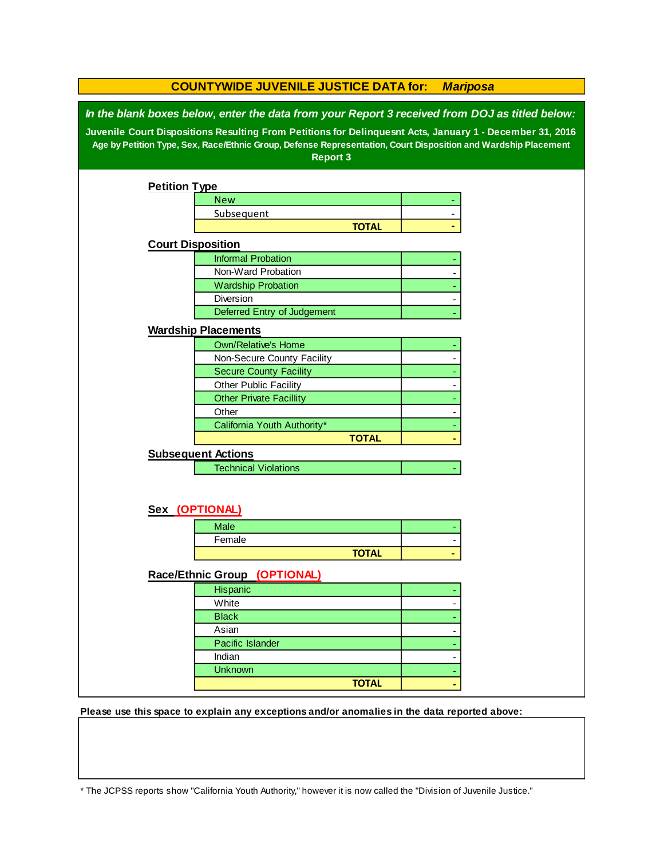|                                                                                                                                                                                                                                                                                                                                                 | <b>COUNTYWIDE JUVENILE JUSTICE DATA for:</b><br><b>Mariposa</b> |  |  |  |  |  |
|-------------------------------------------------------------------------------------------------------------------------------------------------------------------------------------------------------------------------------------------------------------------------------------------------------------------------------------------------|-----------------------------------------------------------------|--|--|--|--|--|
| In the blank boxes below, enter the data from your Report 3 received from DOJ as titled below:<br>Juvenile Court Dispositions Resulting From Petitions for Delinquesnt Acts, January 1 - December 31, 2016<br>Age by Petition Type, Sex, Race/Ethnic Group, Defense Representation, Court Disposition and Wardship Placement<br><b>Report 3</b> |                                                                 |  |  |  |  |  |
| <b>Petition Type</b>                                                                                                                                                                                                                                                                                                                            |                                                                 |  |  |  |  |  |
|                                                                                                                                                                                                                                                                                                                                                 | <b>New</b>                                                      |  |  |  |  |  |
|                                                                                                                                                                                                                                                                                                                                                 | Subsequent                                                      |  |  |  |  |  |
|                                                                                                                                                                                                                                                                                                                                                 | <b>TOTAL</b>                                                    |  |  |  |  |  |
| <b>Court Disposition</b>                                                                                                                                                                                                                                                                                                                        |                                                                 |  |  |  |  |  |
|                                                                                                                                                                                                                                                                                                                                                 | <b>Informal Probation</b>                                       |  |  |  |  |  |
|                                                                                                                                                                                                                                                                                                                                                 | Non-Ward Probation                                              |  |  |  |  |  |
|                                                                                                                                                                                                                                                                                                                                                 | <b>Wardship Probation</b>                                       |  |  |  |  |  |
|                                                                                                                                                                                                                                                                                                                                                 | Diversion                                                       |  |  |  |  |  |
|                                                                                                                                                                                                                                                                                                                                                 | Deferred Entry of Judgement                                     |  |  |  |  |  |
|                                                                                                                                                                                                                                                                                                                                                 | <b>Wardship Placements</b>                                      |  |  |  |  |  |
|                                                                                                                                                                                                                                                                                                                                                 | <b>Own/Relative's Home</b>                                      |  |  |  |  |  |
|                                                                                                                                                                                                                                                                                                                                                 | Non-Secure County Facility                                      |  |  |  |  |  |
|                                                                                                                                                                                                                                                                                                                                                 | <b>Secure County Facility</b>                                   |  |  |  |  |  |
|                                                                                                                                                                                                                                                                                                                                                 | Other Public Facility                                           |  |  |  |  |  |
|                                                                                                                                                                                                                                                                                                                                                 | <b>Other Private Facillity</b>                                  |  |  |  |  |  |
|                                                                                                                                                                                                                                                                                                                                                 | Other                                                           |  |  |  |  |  |
|                                                                                                                                                                                                                                                                                                                                                 | California Youth Authority*                                     |  |  |  |  |  |
|                                                                                                                                                                                                                                                                                                                                                 | <b>TOTAL</b>                                                    |  |  |  |  |  |
|                                                                                                                                                                                                                                                                                                                                                 | <b>Subsequent Actions</b>                                       |  |  |  |  |  |
|                                                                                                                                                                                                                                                                                                                                                 | <b>Technical Violations</b>                                     |  |  |  |  |  |
|                                                                                                                                                                                                                                                                                                                                                 | Sex (OPTIONAL)                                                  |  |  |  |  |  |
|                                                                                                                                                                                                                                                                                                                                                 | <b>Male</b>                                                     |  |  |  |  |  |
|                                                                                                                                                                                                                                                                                                                                                 | Female                                                          |  |  |  |  |  |
|                                                                                                                                                                                                                                                                                                                                                 | <b>TOTAL</b>                                                    |  |  |  |  |  |
|                                                                                                                                                                                                                                                                                                                                                 |                                                                 |  |  |  |  |  |
|                                                                                                                                                                                                                                                                                                                                                 | Race/Ethnic Group (OPTIONAL)                                    |  |  |  |  |  |
|                                                                                                                                                                                                                                                                                                                                                 | Hispanic                                                        |  |  |  |  |  |
|                                                                                                                                                                                                                                                                                                                                                 | White                                                           |  |  |  |  |  |
|                                                                                                                                                                                                                                                                                                                                                 | <b>Black</b>                                                    |  |  |  |  |  |
|                                                                                                                                                                                                                                                                                                                                                 | Asian                                                           |  |  |  |  |  |
|                                                                                                                                                                                                                                                                                                                                                 | Pacific Islander                                                |  |  |  |  |  |
|                                                                                                                                                                                                                                                                                                                                                 | Indian                                                          |  |  |  |  |  |
|                                                                                                                                                                                                                                                                                                                                                 | <b>Unknown</b>                                                  |  |  |  |  |  |
|                                                                                                                                                                                                                                                                                                                                                 | <b>TOTAL</b>                                                    |  |  |  |  |  |

**Please use this space to explain any exceptions and/or anomalies in the data reported above:** 

\* The JCPSS reports show "California Youth Authority," however it is now called the "Division of Juvenile Justice."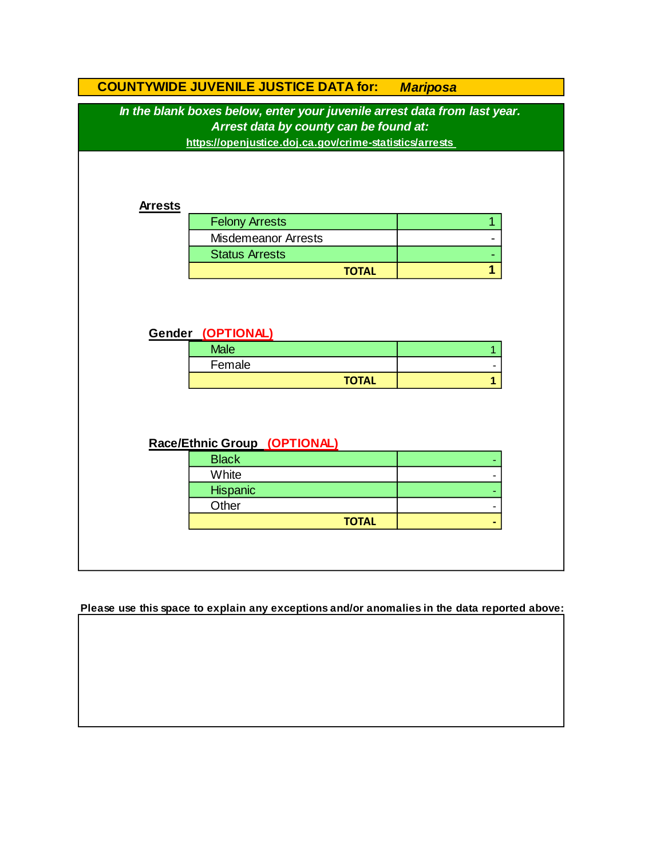|                | <b>COUNTYWIDE JUVENILE JUSTICE DATA for:</b>                              | <b>Mariposa</b> |
|----------------|---------------------------------------------------------------------------|-----------------|
|                | In the blank boxes below, enter your juvenile arrest data from last year. |                 |
|                | Arrest data by county can be found at:                                    |                 |
|                | https://openjustice.doj.ca.gov/crime-statistics/arrests                   |                 |
|                |                                                                           |                 |
|                |                                                                           |                 |
| <b>Arrests</b> |                                                                           |                 |
|                | <b>Felony Arrests</b>                                                     | $\overline{1}$  |
|                | <b>Misdemeanor Arrests</b>                                                |                 |
|                | <b>Status Arrests</b>                                                     |                 |
|                | <b>TOTAL</b>                                                              | 1               |
|                |                                                                           |                 |
|                |                                                                           |                 |
|                |                                                                           |                 |
|                | Gender (OPTIONAL)                                                         |                 |
|                | <b>Male</b>                                                               | 1               |
|                | Female                                                                    |                 |
|                | <b>TOTAL</b>                                                              | 1               |
|                |                                                                           |                 |
|                |                                                                           |                 |
|                |                                                                           |                 |
|                | Race/Ethnic Group (OPTIONAL)                                              |                 |
|                | <b>Black</b>                                                              |                 |
|                | White                                                                     |                 |
|                | <b>Hispanic</b>                                                           |                 |
|                | Other                                                                     |                 |
|                | <b>TOTAL</b>                                                              |                 |
|                |                                                                           |                 |
|                |                                                                           |                 |

**Please use this space to explain any exceptions and/or anomalies in the data reported above:**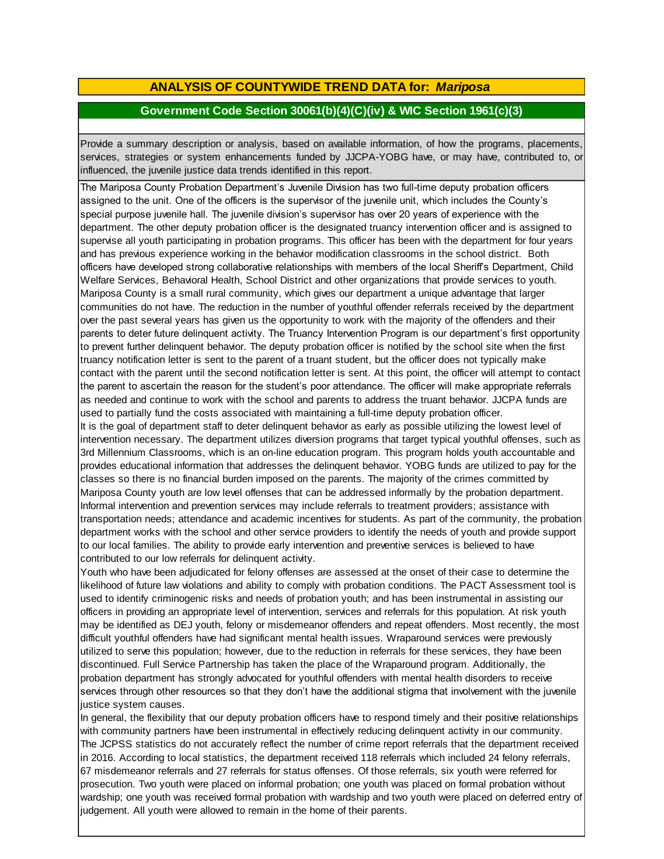# **ANALYSIS OF COUNTYWIDE TREND DATA for:** *Mariposa*

#### **Government Code Section 30061(b)(4)(C)(iv) & WIC Section 1961(c)(3)**

Provide <sup>a</sup> summary description or analysis, based on available information, of how the programs, placements, services, strategies or system enhancements funded by JJCPA-YOBG have, or may have, contributed to, or influenced, the juvenile justice data trends identified in this report.

The Mariposa County Probation Department's Juvenile Division has two full-time deputy probation officers assigned to the unit. One of the officers is the supervisor of the juvenile unit, which includes the County's special purpose juvenile hall. The juvenile division's supervisor has over 20 years of experience with the department. The other deputy probation officer is the designated truancy intervention officer and is assigned to supervise all youth participating in probation programs. This officer has been with the department for four years and has previous experience working in the behavior modification classrooms in the school district. Both officers have developed strong collaborative relationships with members of the local Sheriff's Department, Child Welfare Services, Behavioral Health, School District and other organizations that provide services to youth. Mariposa County is a small rural community, which gives our department a unique advantage that larger communities do not have. The reduction in the number of youthful offender referrals received by the department over the past several years has given us the opportunity to work with the majority of the offenders and their parents to deter future delinquent activity. The Truancy Intervention Program is our department's first opportunity to prevent further delinquent behavior. The deputy probation officer is notified by the school site when the first truancy notification letter is sent to the parent of a truant student, but the officer does not typically make contact with the parent until the second notification letter is sent. At this point, the officer will attempt to contact the parent to ascertain the reason for the student's poor attendance. The officer will make appropriate referrals as needed and continue to work with the school and parents to address the truant behavior. JJCPA funds are used to partially fund the costs associated with maintaining a full-time deputy probation officer.

It is the goal of department staff to deter delinquent behavior as early as possible utilizing the lowest level of intervention necessary. The department utilizes diversion programs that target typical youthful offenses, such as 3rd Millennium Classrooms, which is an on-line education program. This program holds youth accountable and provides educational information that addresses the delinquent behavior. YOBG funds are utilized to pay for the classes so there is no financial burden imposed on the parents. The majority of the crimes committed by Mariposa County youth are low level offenses that can be addressed informally by the probation department. Informal intervention and prevention services may include referrals to treatment providers; assistance with transportation needs; attendance and academic incentives for students. As part of the community, the probation department works with the school and other service providers to identify the needs of youth and provide support to our local families. The ability to provide early intervention and preventive services is believed to have contributed to our low referrals for delinquent activity.

Youth who have been adjudicated for felony offenses are assessed at the onset of their case to determine the likelihood of future law violations and ability to comply with probation conditions. The PACT Assessment tool is used to identify criminogenic risks and needs of probation youth; and has been instrumental in assisting our officers in providing an appropriate level of intervention, services and referrals for this population. At risk youth may be identified as DEJ youth, felony or misdemeanor offenders and repeat offenders. Most recently, the most difficult youthful offenders have had significant mental health issues. Wraparound services were previously utilized to serve this population; however, due to the reduction in referrals for these services, they have been discontinued. Full Service Partnership has taken the place of the Wraparound program. Additionally, the probation department has strongly advocated for youthful offenders with mental health disorders to receive services through other resources so that they don't have the additional stigma that involvement with the juvenile justice system causes.

In general, the flexibility that our deputy probation officers have to respond timely and their positive relationships with community partners have been instrumental in effectively reducing delinquent activity in our community. The JCPSS statistics do not accurately reflect the number of crime report referrals that the department received in 2016. According to local statistics, the department received 118 referrals which included 24 felony referrals, 67 misdemeanor referrals and 27 referrals for status offenses. Of those referrals, six youth were referred for prosecution. Two youth were placed on informal probation; one youth was placed on formal probation without wardship; one youth was received formal probation with wardship and two youth were placed on deferred entry of judgement. All youth were allowed to remain in the home of their parents.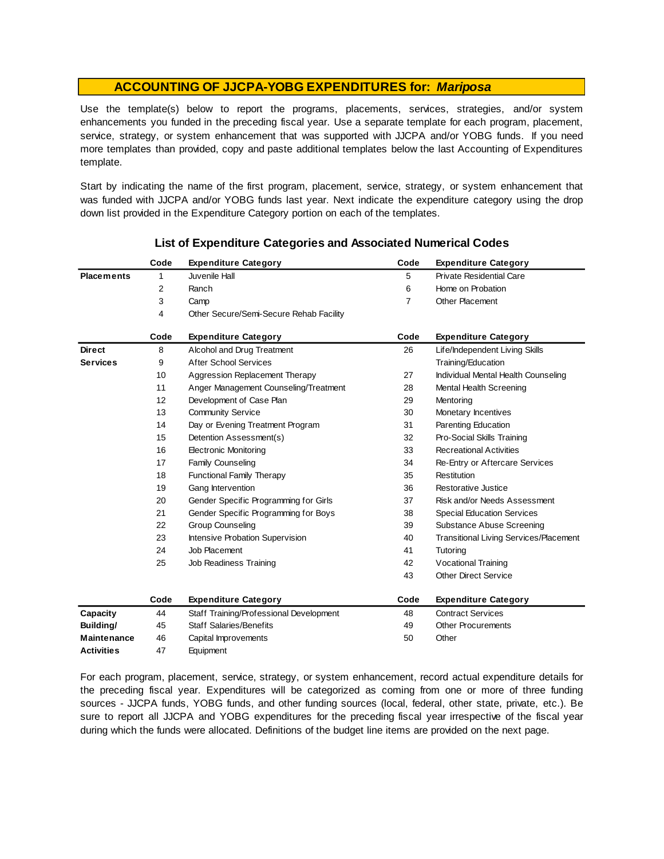Use the template(s) below to report the programs, placements, services, strategies, and/or system enhancements you funded in the preceding fiscal year. Use <sup>a</sup> separate template for each program, placement, service, strategy, or system enhancement that was supported with JJCPA and/or YOBG funds. If you need more templates than provided, copy and paste additional templates below the last Accounting of Expenditures template.

Start by indicating the name of the first program, placement, service, strategy, or system enhancement that was funded with JJCPA and/or YOBG funds last year. Next indicate the expenditure category using the drop down list provided in the Expenditure Category portion on each of the templates.

|                    | Code | <b>Expenditure Category</b>             | Code           | <b>Expenditure Category</b>                   |
|--------------------|------|-----------------------------------------|----------------|-----------------------------------------------|
| <b>Placements</b>  | 1    | Juvenile Hall                           | 5              | <b>Private Residential Care</b>               |
|                    | 2    | Ranch                                   | 6              | Home on Probation                             |
|                    | 3    | Camp                                    | $\overline{7}$ | <b>Other Placement</b>                        |
|                    | 4    | Other Secure/Semi-Secure Rehab Facility |                |                                               |
|                    | Code | <b>Expenditure Category</b>             | Code           | <b>Expenditure Category</b>                   |
| <b>Direct</b>      | 8    | Alcohol and Drug Treatment              | 26             | Life/Independent Living Skills                |
| <b>Services</b>    | 9    | <b>After School Services</b>            |                | Training/Education                            |
|                    | 10   | Aggression Replacement Therapy          | 27             | Individual Mental Health Counseling           |
|                    | 11   | Anger Management Counseling/Treatment   | 28             | Mental Health Screening                       |
|                    | 12   | Development of Case Plan                | 29             | Mentoring                                     |
|                    | 13   | <b>Community Service</b>                | 30             | Monetary Incentives                           |
|                    | 14   | Day or Evening Treatment Program        | 31             | Parenting Education                           |
|                    | 15   | Detention Assessment(s)                 | 32             | Pro-Social Skills Training                    |
|                    | 16   | <b>Electronic Monitoring</b>            | 33             | <b>Recreational Activities</b>                |
|                    | 17   | Family Counseling                       | 34             | Re-Entry or Aftercare Services                |
|                    | 18   | <b>Functional Family Therapy</b>        | 35             | Restitution                                   |
|                    | 19   | Gang Intervention                       | 36             | <b>Restorative Justice</b>                    |
|                    | 20   | Gender Specific Programming for Girls   | 37             | Risk and/or Needs Assessment                  |
|                    | 21   | Gender Specific Programming for Boys    | 38             | <b>Special Education Services</b>             |
|                    | 22   | <b>Group Counseling</b>                 | 39             | Substance Abuse Screening                     |
|                    | 23   | Intensive Probation Supervision         | 40             | <b>Transitional Living Services/Placement</b> |
|                    | 24   | Job Placement                           | 41             | Tutoring                                      |
|                    | 25   | Job Readiness Training                  | 42             | <b>Vocational Training</b>                    |
|                    |      |                                         | 43             | <b>Other Direct Service</b>                   |
|                    | Code | <b>Expenditure Category</b>             | Code           | <b>Expenditure Category</b>                   |
| Capacity           | 44   | Staff Training/Professional Development | 48             | <b>Contract Services</b>                      |
| Building/          | 45   | <b>Staff Salaries/Benefits</b>          | 49             | <b>Other Procurements</b>                     |
| <b>Maintenance</b> | 46   | Capital Improvements                    | 50             | Other                                         |
| <b>Activities</b>  | 47   | Equipment                               |                |                                               |

#### **List of Expenditure Categories and Associated Numerical Codes**

For each program, placement, service, strategy, or system enhancement, record actual expenditure details for the preceding fiscal year. Expenditures will be categorized as coming from one or more of three funding sources - JJCPA funds, YOBG funds, and other funding sources (local, federal, other state, private, etc.). Be sure to report all JJCPA and YOBG expenditures for the preceding fiscal year irrespective of the fiscal year during which the funds were allocated. Definitions of the budget line items are provided on the next page.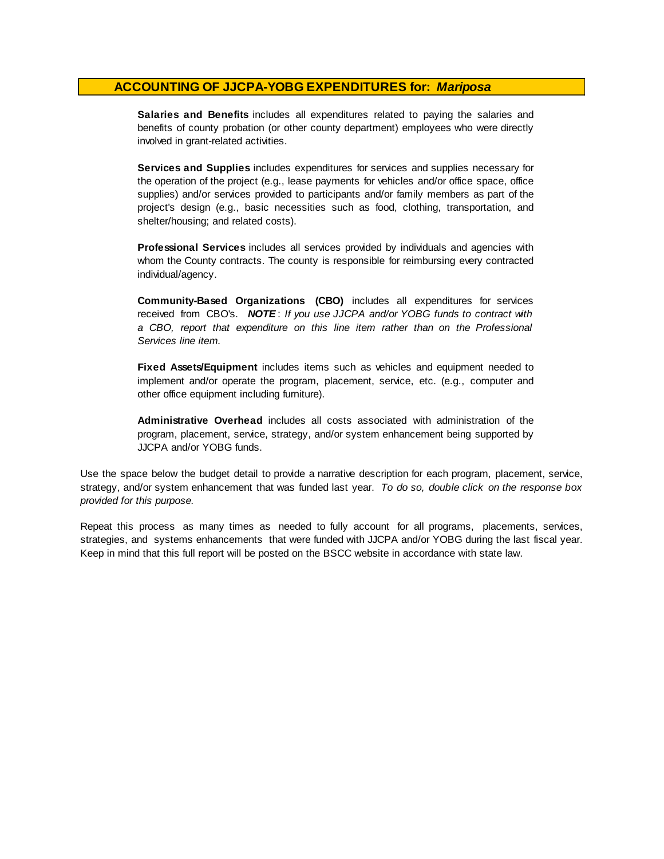**Salaries and Benefits** includes all expenditures related to paying the salaries and benefits of county probation (or other county department) employees who were directly involved in grant-related activities.

**Services and Supplies** includes expenditures for services and supplies necessary for the operation of the project (e.g., lease payments for vehicles and/or office space, office supplies) and/or services provided to participants and/or family members as part of the project's design (e.g., basic necessities such as food, clothing, transportation, and shelter/housing; and related costs).

**Professional Services** includes all services provided by individuals and agencies with whom the County contracts. The county is responsible for reimbursing every contracted individual/agency.

**Community-Based Organizations (CBO)** includes all expenditures for services received from CBO's. *NOTE* : *I f you use JJCPA and/or YOBG funds t o contract with <sup>a</sup> CBO, report that expenditure on this line item rather than on the Professional Services line item.*

**Fixed Assets/Equipment** includes items such as vehicles and equipment needed to implement and/or operate the program, placement, service, etc. (e.g., computer and other office equipment including furniture).

**Administrative Overhead** includes all costs associated with administration of the program, placement, service, strategy, and/or system enhancement being supported by JJCPA and/or YOBG funds.

Use the space below the budget detail to provide a narrative description for each program, placement, service, strategy, and/or system enhancement that was funded last year. *To do so, double click on the response box provided for this purpose.* 

Repeat this process as many times as needed to fully account for all programs, placements, services, strategies, and systems enhancements that were funded with JJCPA and/or YOBG during the last fiscal year. Keep in mind that this full report will be posted on the BSCC website in accordance with state law.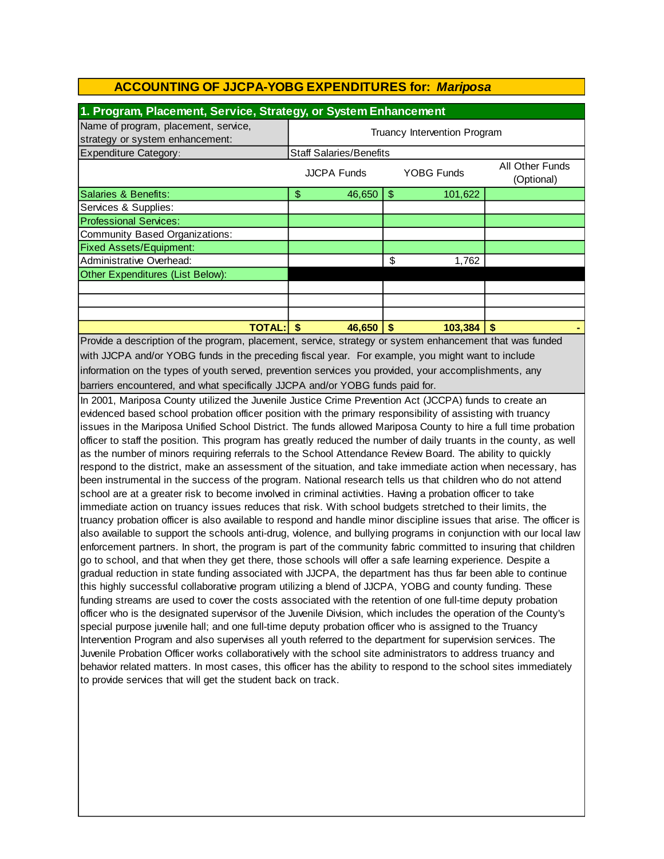| 1. Program, Placement, Service, Strategy, or System Enhancement         |                                |                    |    |            |                                      |  |  |
|-------------------------------------------------------------------------|--------------------------------|--------------------|----|------------|--------------------------------------|--|--|
| Name of program, placement, service,<br>strategy or system enhancement: | Truancy Intervention Program   |                    |    |            |                                      |  |  |
| Expenditure Category:                                                   | <b>Staff Salaries/Benefits</b> |                    |    |            |                                      |  |  |
|                                                                         |                                | <b>JJCPA Funds</b> |    | YOBG Funds | <b>All Other Funds</b><br>(Optional) |  |  |
| Salaries & Benefits:                                                    | \$                             | 46,650             | \$ | 101,622    |                                      |  |  |
| Services & Supplies:                                                    |                                |                    |    |            |                                      |  |  |
| <b>Professional Services:</b>                                           |                                |                    |    |            |                                      |  |  |
| Community Based Organizations:                                          |                                |                    |    |            |                                      |  |  |
| <b>Fixed Assets/Equipment:</b>                                          |                                |                    |    |            |                                      |  |  |
| Administrative Overhead:                                                |                                |                    | \$ | 1,762      |                                      |  |  |
| Other Expenditures (List Below):                                        |                                |                    |    |            |                                      |  |  |
|                                                                         |                                |                    |    |            |                                      |  |  |
|                                                                         |                                |                    |    |            |                                      |  |  |
|                                                                         |                                |                    |    |            |                                      |  |  |
| <b>TOTAL:</b>                                                           | S                              | 46,650             | \$ | 103,384    |                                      |  |  |

Provide a description of the program, placement, service, strategy or system enhancement that was funded with JJCPA and/or YOBG funds in the preceding fiscal year. For example, you might want to include information on the types of youth served, prevention services you provided, your accomplishments, any barriers encountered, and what specifically JJCPA and/or YOBG funds paid for.

In 2001, Mariposa County utilized the Juvenile Justice Crime Prevention Act (JCCPA) funds to create an evidenced based school probation officer position with the primary responsibility of assisting with truancy issues in the Mariposa Unified School District. The funds allowed Mariposa County to hire a full time probation officer to staff the position. This program has greatly reduced the number of daily truants in the county, as well as the number of minors requiring referrals to the School Attendance Review Board. The ability to quickly respond to the district, make an assessment of the situation, and take immediate action when necessary, has been instrumental in the success of the program. National research tells us that children who do not attend school are at a greater risk to become involved in criminal activities. Having a probation officer to take immediate action on truancy issues reduces that risk. With school budgets stretched to their limits, the truancy probation officer is also available to respond and handle minor discipline issues that arise. The officer is also available to support the schools anti-drug, violence, and bullying programs in conjunction with our local law enforcement partners. In short, the program is part of the community fabric committed to insuring that children go to school, and that when they get there, those schools will offer a safe learning experience. Despite a gradual reduction in state funding associated with JJCPA, the department has thus far been able to continue this highly successful collaborative program utilizing a blend of JJCPA, YOBG and county funding. These funding streams are used to cover the costs associated with the retention of one full-time deputy probation officer who is the designated supervisor of the Juvenile Division, which includes the operation of the County's special purpose juvenile hall; and one full-time deputy probation officer who is assigned to the Truancy Intervention Program and also supervises all youth referred to the department for supervision services. The Juvenile Probation Officer works collaboratively with the school site administrators to address truancy and behavior related matters. In most cases, this officer has the ability to respond to the school sites immediately to provide services that will get the student back on track.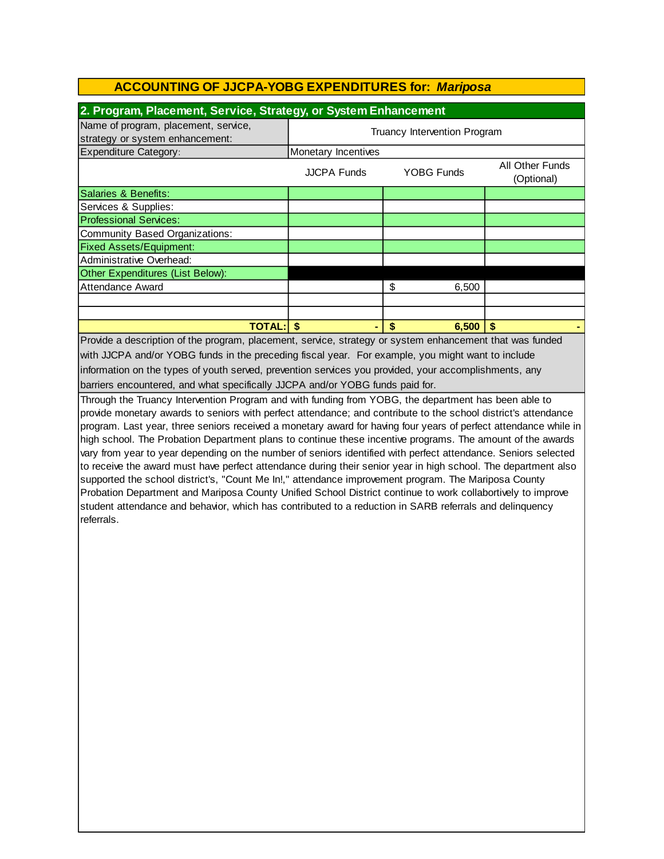| 2. Program, Placement, Service, Strategy, or System Enhancement                                          |                     |                               |  |  |  |  |
|----------------------------------------------------------------------------------------------------------|---------------------|-------------------------------|--|--|--|--|
| Truancy Intervention Program                                                                             |                     |                               |  |  |  |  |
|                                                                                                          |                     |                               |  |  |  |  |
| <b>JJCPA Funds</b>                                                                                       | <b>YOBG Funds</b>   | All Other Funds<br>(Optional) |  |  |  |  |
|                                                                                                          |                     |                               |  |  |  |  |
|                                                                                                          |                     |                               |  |  |  |  |
|                                                                                                          |                     |                               |  |  |  |  |
|                                                                                                          |                     |                               |  |  |  |  |
|                                                                                                          |                     |                               |  |  |  |  |
|                                                                                                          |                     |                               |  |  |  |  |
|                                                                                                          |                     |                               |  |  |  |  |
|                                                                                                          | \$<br>6,500         |                               |  |  |  |  |
|                                                                                                          |                     |                               |  |  |  |  |
|                                                                                                          |                     |                               |  |  |  |  |
| <b>TOTAL: \$</b><br>6,500                                                                                |                     |                               |  |  |  |  |
| Provide a description of the program, placement, service, strategy or system enhancement that was funded |                     |                               |  |  |  |  |
| with JJCPA and/or YOBG funds in the preceding fiscal year. For example, you might want to include        |                     |                               |  |  |  |  |
|                                                                                                          | Monetary Incentives |                               |  |  |  |  |

Through the Truancy Intervention Program and with funding from YOBG, the department has been able to provide monetary awards to seniors with perfect attendance; and contribute to the school district's attendance program. Last year, three seniors received a monetary award for having four years of perfect attendance while in high school. The Probation Department plans to continue these incentive programs. The amount of the awards vary from year to year depending on the number of seniors identified with perfect attendance. Seniors selected barriers encountered, and what specifically JJCPA and/or YOBG funds paid for. information on the types of youth served, prevention services you provided, your accomplishments, any

to receive the award must have perfect attendance during their senior year in high school. The department also supported the school district's, "Count Me In!," attendance improvement program. The Mariposa County Probation Department and Mariposa County Unified School District continue to work collabortively to improve student attendance and behavior, which has contributed to a reduction in SARB referrals and delinquency referrals.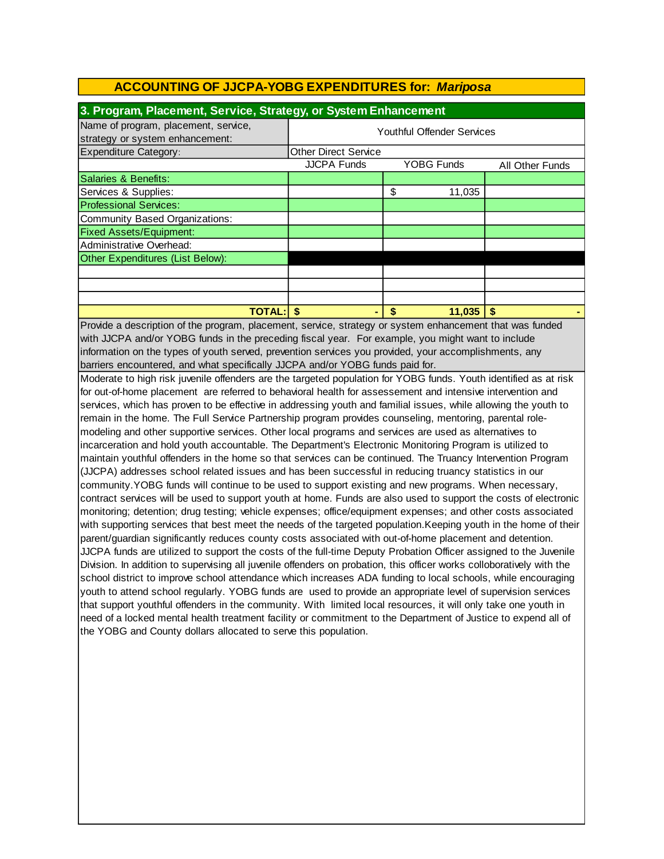| 3. Program, Placement, Service, Strategy, or System Enhancement         |                                   |    |                   |                        |  |
|-------------------------------------------------------------------------|-----------------------------------|----|-------------------|------------------------|--|
| Name of program, placement, service,<br>strategy or system enhancement: | <b>Youthful Offender Services</b> |    |                   |                        |  |
| <b>Expenditure Category:</b>                                            | <b>Other Direct Service</b>       |    |                   |                        |  |
|                                                                         | <b>JJCPA Funds</b>                |    | <b>YOBG Funds</b> | <b>All Other Funds</b> |  |
| Salaries & Benefits:                                                    |                                   |    |                   |                        |  |
| Services & Supplies:                                                    |                                   | \$ | 11,035            |                        |  |
| <b>Professional Services:</b>                                           |                                   |    |                   |                        |  |
| Community Based Organizations:                                          |                                   |    |                   |                        |  |
| <b>Fixed Assets/Equipment:</b>                                          |                                   |    |                   |                        |  |
| Administrative Overhead:                                                |                                   |    |                   |                        |  |
| Other Expenditures (List Below):                                        |                                   |    |                   |                        |  |
|                                                                         |                                   |    |                   |                        |  |
|                                                                         |                                   |    |                   |                        |  |
|                                                                         |                                   |    |                   |                        |  |
| <b>TOTAL:</b>                                                           |                                   | S  | 11.035            |                        |  |

barriers encountered, and what specifically JJCPA and/or YOBG funds paid for. information on the types of youth served, prevention services you provided, your accomplishments, any Provide a description of the program, placement, service, strategy or system enhancement that was funded with JJCPA and/or YOBG funds in the preceding fiscal year. For example, you might want to include

Moderate to high risk juvenile offenders are the targeted population for YOBG funds. Youth identified as at risk for out-of-home placement are referred to behavioral health for assessement and intensive intervention and services, which has proven to be effective in addressing youth and familial issues, while allowing the youth to remain in the home. The Full Service Partnership program provides counseling, mentoring, parental rolemodeling and other supportive services. Other local programs and services are used as alternatives to incarceration and hold youth accountable. The Department's Electronic Monitoring Program is utilized to maintain youthful offenders in the home so that services can be continued. The Truancy Intervention Program (JJCPA) addresses school related issues and has been successful in reducing truancy statistics in our community.YOBG funds will continue to be used to support existing and new programs. When necessary, contract services will be used to support youth at home. Funds are also used to support the costs of electronic monitoring; detention; drug testing; vehicle expenses; office/equipment expenses; and other costs associated with supporting services that best meet the needs of the targeted population.Keeping youth in the home of their parent/guardian significantly reduces county costs associated with out-of-home placement and detention. JJCPA funds are utilized to support the costs of the full-time Deputy Probation Officer assigned to the Juvenile Division. In addition to supervising all juvenile offenders on probation, this officer works colloboratively with the school district to improve school attendance which increases ADA funding to local schools, while encouraging youth to attend school regularly. YOBG funds are used to provide an appropriate level of supervision services that support youthful offenders in the community. With limited local resources, it will only take one youth in need of a locked mental health treatment facility or commitment to the Department of Justice to expend all of the YOBG and County dollars allocated to serve this population.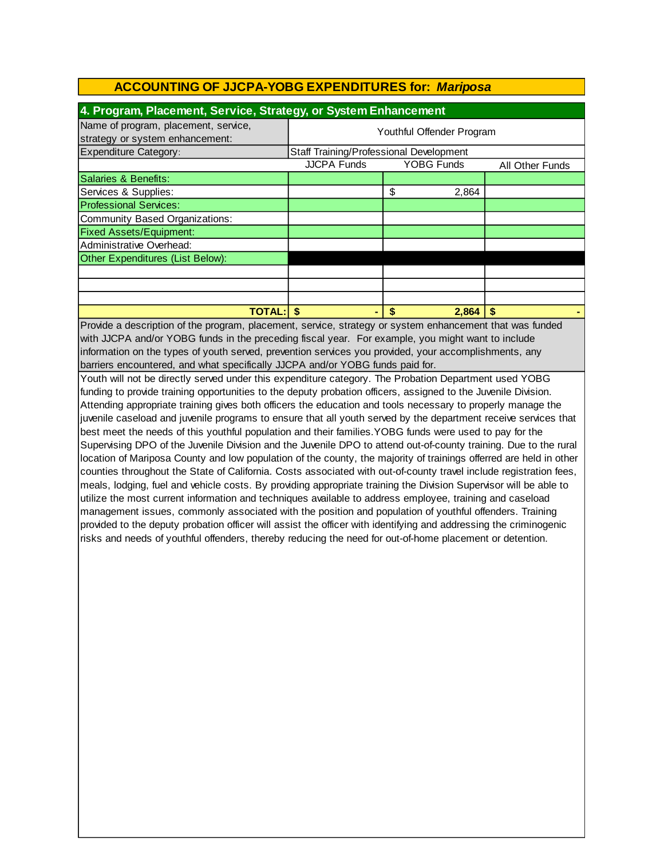| 4. Program, Placement, Service, Strategy, or System Enhancement         |                                         |             |                 |  |  |  |
|-------------------------------------------------------------------------|-----------------------------------------|-------------|-----------------|--|--|--|
| Name of program, placement, service,<br>strategy or system enhancement: | Youthful Offender Program               |             |                 |  |  |  |
| Expenditure Category:                                                   | Staff Training/Professional Development |             |                 |  |  |  |
|                                                                         | <b>JJCPA Funds</b>                      | YOBG Funds  | All Other Funds |  |  |  |
| Salaries & Benefits:                                                    |                                         |             |                 |  |  |  |
| Services & Supplies:                                                    |                                         | \$<br>2,864 |                 |  |  |  |
| <b>Professional Services:</b>                                           |                                         |             |                 |  |  |  |
| Community Based Organizations:                                          |                                         |             |                 |  |  |  |
| <b>Fixed Assets/Equipment:</b>                                          |                                         |             |                 |  |  |  |
| Administrative Overhead:                                                |                                         |             |                 |  |  |  |
| Other Expenditures (List Below):                                        |                                         |             |                 |  |  |  |
|                                                                         |                                         |             |                 |  |  |  |
|                                                                         |                                         |             |                 |  |  |  |
|                                                                         |                                         |             |                 |  |  |  |
| <b>TOTAL:</b><br>2,864<br>S<br>S                                        |                                         |             |                 |  |  |  |

Provide a description of the program, placement, service, strategy or system enhancement that was funded with JJCPA and/or YOBG funds in the preceding fiscal year. For example, you might want to include information on the types of youth served, prevention services you provided, your accomplishments, any barriers encountered, and what specifically JJCPA and/or YOBG funds paid for.

Youth will not be directly served under this expenditure category. The Probation Department used YOBG funding to provide training opportunities to the deputy probation officers, assigned to the Juvenile Division. Attending appropriate training gives both officers the education and tools necessary to properly manage the juvenile caseload and juvenile programs to ensure that all youth served by the department receive services that best meet the needs of this youthful population and their families.YOBG funds were used to pay for the Supervising DPO of the Juvenile Division and the Juvenile DPO to attend out-of-county training. Due to the rural location of Mariposa County and low population of the county, the majority of trainings offerred are held in other counties throughout the State of California. Costs associated with out-of-county travel include registration fees, meals, lodging, fuel and vehicle costs. By providing appropriate training the Division Supervisor will be able to utilize the most current information and techniques available to address employee, training and caseload management issues, commonly associated with the position and population of youthful offenders. Training provided to the deputy probation officer will assist the officer with identifying and addressing the criminogenic risks and needs of youthful offenders, thereby reducing the need for out-of-home placement or detention.